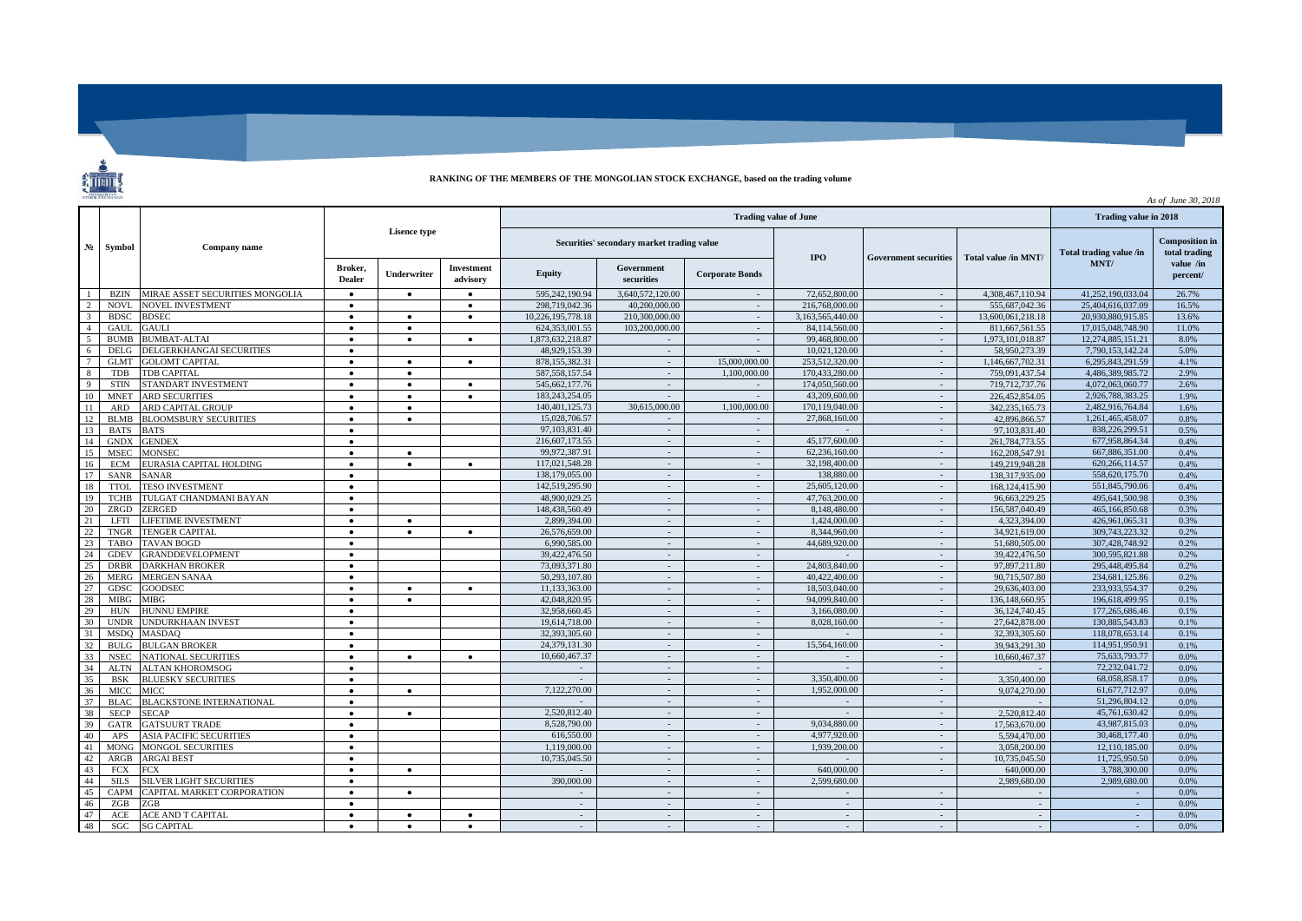## **RANKING OF THE MEMBERS OF THE MONGOLIAN STOCK EXCHANGE, based on the trading volume**

 $rac{8}{3}$ 

|                    |              |                                 |                     |           |           |                                            |                       |               |                  | As of June 30, 2018          |                          |                         |                                        |               |                          |                        |  |  |  |
|--------------------|--------------|---------------------------------|---------------------|-----------|-----------|--------------------------------------------|-----------------------|---------------|------------------|------------------------------|--------------------------|-------------------------|----------------------------------------|---------------|--------------------------|------------------------|--|--|--|
|                    | $N_2$ Symbol | Company name                    | <b>Lisence type</b> |           |           |                                            | Trading value in 2018 |               |                  |                              |                          |                         |                                        |               |                          |                        |  |  |  |
|                    |              |                                 |                     |           |           | Securities' secondary market trading value |                       |               | <b>IPO</b>       | <b>Government securities</b> | Total value /in MNT/     | Total trading value /in | <b>Composition</b> in<br>total trading |               |                          |                        |  |  |  |
|                    |              |                                 |                     |           |           |                                            |                       |               |                  |                              | Broker,<br><b>Dealer</b> | <b>Underwriter</b>      | Investment<br>advisory                 | <b>Equity</b> | Government<br>securities | <b>Corporate Bonds</b> |  |  |  |
|                    | <b>BZIN</b>  | MIRAE ASSET SECURITIES MONGOLIA | $\bullet$           |           |           | 595,242,190.94                             | 3,640,572,120.00      |               | 72,652,800.00    | $\sim$                       | 4,308,467,110.94         | 41,252,190,033.04       | 26.7%                                  |               |                          |                        |  |  |  |
|                    | <b>NOVL</b>  | <b>NOVEL INVESTMENT</b>         | $\bullet$           |           | $\bullet$ | 298.719.042.36                             | 40,200,000,00         | $\sim$        | 216,768,000,00   | $\sim$                       | 555,687,042.36           | 25.404.616.037.09       | 16.5%                                  |               |                          |                        |  |  |  |
|                    | <b>BDSC</b>  | <b>BDSEC</b>                    | $\bullet$           | $\bullet$ | $\bullet$ | 10,226,195,778.18                          | 210,300,000,00        | $\sim$        | 3.163.565.440.00 | $\sim$                       | 13,600,061,218.18        | 20.930.880.915.85       | 13.6%                                  |               |                          |                        |  |  |  |
|                    | <b>GAUI</b>  | GAULI                           | $\bullet$           |           |           | 624,353,001.55                             | 103,200,000.00        | $\sim$        | 84,114,560.00    | $\omega$                     | 811,667,561.55           | 17.015.048.748.90       | 11.0%                                  |               |                          |                        |  |  |  |
|                    | <b>BUMB</b>  | <b>BUMBAT-ALTAI</b>             | $\bullet$           | $\bullet$ | $\bullet$ | 1.873.632.218.87                           |                       | $\sim$        | 99,468,800.00    | $\sim$                       | 1.973.101.018.87         | 12.274.885.151.21       | 8.0%                                   |               |                          |                        |  |  |  |
|                    | <b>DELG</b>  | DELGERKHANGAI SECURITIES        | $\bullet$           |           |           | 48,929,153.39                              |                       |               | 10,021,120.00    | $\sim$                       | 58,950,273.39            | 7,790,153,142.24        | 5.0%                                   |               |                          |                        |  |  |  |
|                    | <b>GLMT</b>  | <b>GOLOMT CAPITAL</b>           | $\bullet$           | $\bullet$ | $\bullet$ | 878.155.382.31                             | $\sim$                | 15,000,000,00 | 253,512,320.00   | $\sim$                       | 1.146.667.702.31         | 6.295.843.291.59        | 4.1%                                   |               |                          |                        |  |  |  |
| $\mathbf{\hat{z}}$ | <b>TDB</b>   | <b>TDB CAPITAL</b>              | $\bullet$           | $\bullet$ |           | 587.558.157.54                             | $\sim$                | 1.100.000.00  | 170.433.280.00   | $\sim$                       | 759,091,437.54           | 4,486,389,985,72        | 2.9%                                   |               |                          |                        |  |  |  |
| $\mathbf{q}$       | <b>STIN</b>  | <b>STANDART INVESTMENT</b>      | $\bullet$           | $\bullet$ | $\bullet$ | 545,662,177,76                             | $\sim$                | $\sim$        | 174,050,560,00   | $\sim$                       | 719,712,737.76           | 4,072,063,060.77        | 2.6%                                   |               |                          |                        |  |  |  |
| 10                 | <b>MNET</b>  | <b>ARD SECURITIES</b>           | $\bullet$           | $\bullet$ | $\bullet$ | 183,243,254.05                             |                       |               | 43.209.600.00    | $\sim$                       | 226.452.854.05           | 2,926,788,383,25        | 1.9%                                   |               |                          |                        |  |  |  |
| 11                 | ARD          | ARD CAPITAL GROUP               | $\bullet$           | $\bullet$ |           | 140.401.125.73                             | 30.615,000.00         | 1.100,000.00  | 170.119.040.00   | $\sim$                       | 342.235.165.73           | 2,482,916,764.84        | 1.6%                                   |               |                          |                        |  |  |  |
| 12                 | <b>BLMB</b>  | <b>BLOOMSBURY SECURITIES</b>    | $\bullet$           | $\bullet$ |           | 15,028,706.57                              |                       | $\sim$        | 27,868,160.00    | $\sim$                       | 42,896,866.57            | 1,261,465,458.07        | 0.8%                                   |               |                          |                        |  |  |  |
| 13                 | <b>BATS</b>  | BATS                            | $\bullet$           |           |           | 97.103.831.40                              | $\sim$                | $\sim$        |                  | $\sim$                       | 97,103,831.40            | 838,226,299.51          | 0.5%                                   |               |                          |                        |  |  |  |
| 14                 | <b>GNDX</b>  | <b>GENDEX</b>                   | $\bullet$           |           |           | 216,607,173.55                             | $\sim$                | $\sim$        | 45,177,600.00    | $\sim$                       | 261,784,773.55           | 677,958,864.34          | 0.4%                                   |               |                          |                        |  |  |  |
| 15                 | <b>MSEC</b>  | MONSEC                          | $\bullet$           | $\bullet$ |           | 99.972.387.91                              | $\sim$                | $\sim$        | 62,236,160,00    | $\sim$                       | 162,208,547.91           | 667,886,351.00          | 0.4%                                   |               |                          |                        |  |  |  |
| 16                 | <b>ECM</b>   | EURASIA CAPITAL HOLDING         | $\bullet$           |           | $\bullet$ | 117.021.548.28                             | $\sim$                | $\sim$        | 32,198,400.00    | $\sim$                       | 149.219.948.28           | 620.266.114.57          | 0.4%                                   |               |                          |                        |  |  |  |
| 17                 | <b>SANR</b>  | SANAR                           | $\bullet$           |           |           | 138,179,055.00                             | $\sim$                | $\sim$        | 138,880.00       | $\sim$                       | 138.317.935.00           | 558,620,175.70          | 0.4%                                   |               |                          |                        |  |  |  |
| 18                 | <b>TTOL</b>  | <b>TESO INVESTMENT</b>          | $\bullet$           |           |           | 142.519.295.90                             | $\sim$                | $\sim$        | 25,605,120.00    | $\sim$                       | 168,124,415.90           | 551,845,790.06          | 0.4%                                   |               |                          |                        |  |  |  |
| 19                 | <b>TCHB</b>  | TULGAT CHANDMANI BAYAN          | $\bullet$           |           |           | 48,900,029.25                              | $\sim$                | $\sim$        | 47,763,200,00    | $\sim$                       | 96,663,229.25            | 495.641.500.98          | 0.3%                                   |               |                          |                        |  |  |  |
| 20                 | ZRGD         | ZERGED                          | $\bullet$           |           |           | 148,438,560,49                             | $\sim$                | $\sim$        | 8.148.480.00     | $\sim$                       | 156,587,040.49           | 465,166,850.68          | 0.3%                                   |               |                          |                        |  |  |  |
| 21                 | LFTI         | LIFETIME INVESTMENT             | $\bullet$           | $\bullet$ |           | 2,899,394.00                               | $\sim$                | $\sim$        | 1,424,000.00     | $\sim$                       | 4.323.394.00             | 426.961.065.31          | 0.3%                                   |               |                          |                        |  |  |  |
| 22                 | <b>TNGR</b>  | <b>TENGER CAPITAL</b>           | $\bullet$           | $\bullet$ | $\bullet$ | 26,576,659.00                              | $\sim$                | $\sim$        | 8.344.960.00     | $\sim$                       | 34,921,619,00            | 309.743.223.32          | 0.2%                                   |               |                          |                        |  |  |  |
| 23                 | <b>TABO</b>  | <b>TAVAN BOGD</b>               | $\bullet$           |           |           | 6,990,585.00                               | $\sim$                | $\sim$        | 44,689,920.00    | $\sim$                       | 51,680,505,00            | 307,428,748.92          | 0.2%                                   |               |                          |                        |  |  |  |
| 24                 | <b>GDEV</b>  | <b>GRANDDEVELOPMENT</b>         | $\bullet$           |           |           | 39,422,476.50                              | $\sim$                | $\sim$        |                  | $\sim$                       | 39,422,476.50            | 300,595,821.88          | 0.2%                                   |               |                          |                        |  |  |  |
| 25                 | <b>DRBR</b>  | DARKHAN BROKER                  | $\bullet$           |           |           | 73,093,371.80                              | $\sim$                | $\sim$        | 24,803,840,00    | $\sim$                       | 97,897,211.80            | 295,448,495.84          | 0.2%                                   |               |                          |                        |  |  |  |
| 26                 | <b>MERG</b>  | <b>MERGEN SANAA</b>             | $\bullet$           |           |           | 50.293.107.80                              |                       |               | 40.422,400.00    |                              | 90.715.507.80            | 234,681,125,86          | 0.2%                                   |               |                          |                        |  |  |  |
| 27                 | <b>GDSC</b>  | GOODSEC                         | $\bullet$           | $\bullet$ | $\bullet$ | 11.133.363.00                              | $\sim$                | $\sim$        | 18,503,040,00    | $\sim$                       | 29,636,403,00            | 233,933,554.37          | 0.2%                                   |               |                          |                        |  |  |  |
| 28                 | <b>MIBG</b>  | <b>MIBG</b>                     | $\bullet$           | $\bullet$ |           | 42.048.820.95                              | $\sim$                | $\sim$        | 94,099,840,00    | $\sim$                       | 136,148,660.95           | 196.618.499.95          | 0.1%                                   |               |                          |                        |  |  |  |
| 29                 | <b>HUN</b>   | <b>HUNNU EMPIRE</b>             | $\bullet$           |           |           | 32,958,660.45                              | $\sim$                | $\sim$        | 3.166,080.00     | $\sim$                       | 36,124,740.45            | 177,265,686.46          | 0.1%                                   |               |                          |                        |  |  |  |
| 30                 | <b>UNDR</b>  | UNDURKHAAN INVEST               | $\bullet$           |           |           | 19.614.718.00                              | $\sim$                | $\sim$        | 8,028,160,00     | $\sim$                       | 27,642,878.00            | 130.885.543.83          | 0.1%                                   |               |                          |                        |  |  |  |
| 31                 | <b>MSDO</b>  | MASDAO                          | $\bullet$           |           |           | 32.393.305.60                              | $\sim$                | $\sim$        |                  | $\sim$                       | 32,393,305.60            | 118,078,653.14          | 0.1%                                   |               |                          |                        |  |  |  |
| 32                 | BULG         | <b>BULGAN BROKER</b>            | $\bullet$           |           |           | 24.379.131.30                              |                       | $\sim$        | 15,564,160,00    | $\sim$                       | 39.943.291.30            | 114,951,950.91          | 0.1%                                   |               |                          |                        |  |  |  |
| 33                 | <b>NSEC</b>  | NATIONAL SECURITIES             | $\bullet$           | $\bullet$ | $\bullet$ | 10.660,467.37                              | $\sim$                | $\sim$        |                  | $\sim$                       | 10.660,467.37            | 75,633,793.77           | 0.0%                                   |               |                          |                        |  |  |  |
| 34                 | <b>ALTN</b>  | <b>ALTAN KHOROMSOG</b>          | $\bullet$           |           |           | $\sim$                                     | $\sim$                | $\sim$        | $\sim$           | $\sim$                       |                          | 72,232,041.72           | 0.0%                                   |               |                          |                        |  |  |  |
| 35                 | <b>BSK</b>   | <b>BLUESKY SECURITIES</b>       | $\bullet$           |           |           |                                            | $\sim$                | $\sim$        | 3.350,400.00     | $\sim$                       | 3,350,400,00             | 68,058,858.17           | 0.0%                                   |               |                          |                        |  |  |  |
| 36                 | <b>MICC</b>  | MICC                            | $\bullet$           | $\bullet$ |           | 7,122,270.00                               | $\sim$                | $\sim$        | 1.952,000.00     | $\sim$                       | 9,074,270.00             | 61, 677, 712. 97        | 0.0%                                   |               |                          |                        |  |  |  |
| 37                 | <b>BLAC</b>  | <b>BLACKSTONE INTERNATIONAL</b> | $\bullet$           |           |           |                                            | $\sim$                | $\sim$        |                  | $\sim$                       |                          | 51,296,804.12           | 0.0%                                   |               |                          |                        |  |  |  |
| 38                 | <b>SECP</b>  | <b>SECAP</b>                    | $\bullet$           | $\bullet$ |           | 2,520,812.40                               | $\sim$                | $\sim$        |                  | $\sim$                       | 2.520,812.40             | 45,761,630.42           | 0.0%                                   |               |                          |                        |  |  |  |
| 39                 | <b>GATR</b>  | <b>GATSUURT TRADE</b>           | $\bullet$           |           |           | 8,528,790.00                               | $\sim$                | $\sim$        | 9,034,880,00     | $\sim$                       | 17,563,670.00            | 43,987,815.03           | 0.0%                                   |               |                          |                        |  |  |  |
| 40                 | APS          | <b>ASIA PACIFIC SECURITIES</b>  | $\bullet$           |           |           | 616,550.00                                 | $\sim$                | $\sim$        | 4,977,920.00     | $\sim$                       | 5.594,470.00             | 30,468,177.40           | 0.0%                                   |               |                          |                        |  |  |  |
| 41                 | <b>MONG</b>  | <b>MONGOL SECURITIES</b>        | $\bullet$           |           |           | 1.119.000.00                               | $\sim$                | $\sim$        | 1.939.200.00     | $\sim$                       | 3,058,200,00             | 12,110,185,00           | 0.0%                                   |               |                          |                        |  |  |  |
| 42                 | ARGB         | <b>ARGAI BEST</b>               | $\bullet$           |           |           | 10.735.045.50                              | $\sim$                | $\sim$        |                  | $\sim$                       | 10,735,045.50            | 11,725,950.50           | 0.0%                                   |               |                          |                        |  |  |  |
| 43                 | <b>FCX</b>   | FCX                             | $\bullet$           | $\bullet$ |           |                                            | $\sim$                | $\sim$        | 640,000.00       | $\sim$                       | 640.000.00               | 3,788,300,00            | 0.0%                                   |               |                          |                        |  |  |  |
| 44                 | SILS         | <b>SILVER LIGHT SECURITIES</b>  | $\bullet$           |           |           | 390,000,00                                 | $\sim$                | $\sim$        | 2.599,680.00     |                              | 2,989,680.00             | 2.989,680.00            | 0.0%                                   |               |                          |                        |  |  |  |
| 45                 | CAPM         | CAPITAL MARKET CORPORATION      | $\bullet$           | $\bullet$ |           |                                            |                       | $\sim$        |                  |                              |                          |                         | 0.0%                                   |               |                          |                        |  |  |  |
| 46                 | ZGB          | ZGB                             | $\bullet$           |           |           | $\sim$                                     | $\sim$                | $\sim$        | $\sim$           | $\sim$ $-$                   |                          | $\sim$                  | 0.0%                                   |               |                          |                        |  |  |  |
| 47                 | ACE          | ACE AND T CAPITAL               | $\bullet$           | $\bullet$ | $\bullet$ | $\sim$                                     | $\sim$                | $\sim$        | $\sim$           | $\sim$                       |                          | $\sim$                  | 0.0%                                   |               |                          |                        |  |  |  |
| 48                 | SGC          | <b>SG CAPITAL</b>               | $\bullet$           |           |           | ÷.                                         | $\sim$                | $\sim$        | $\sim$           | $\sim$                       |                          |                         | 0.0%                                   |               |                          |                        |  |  |  |